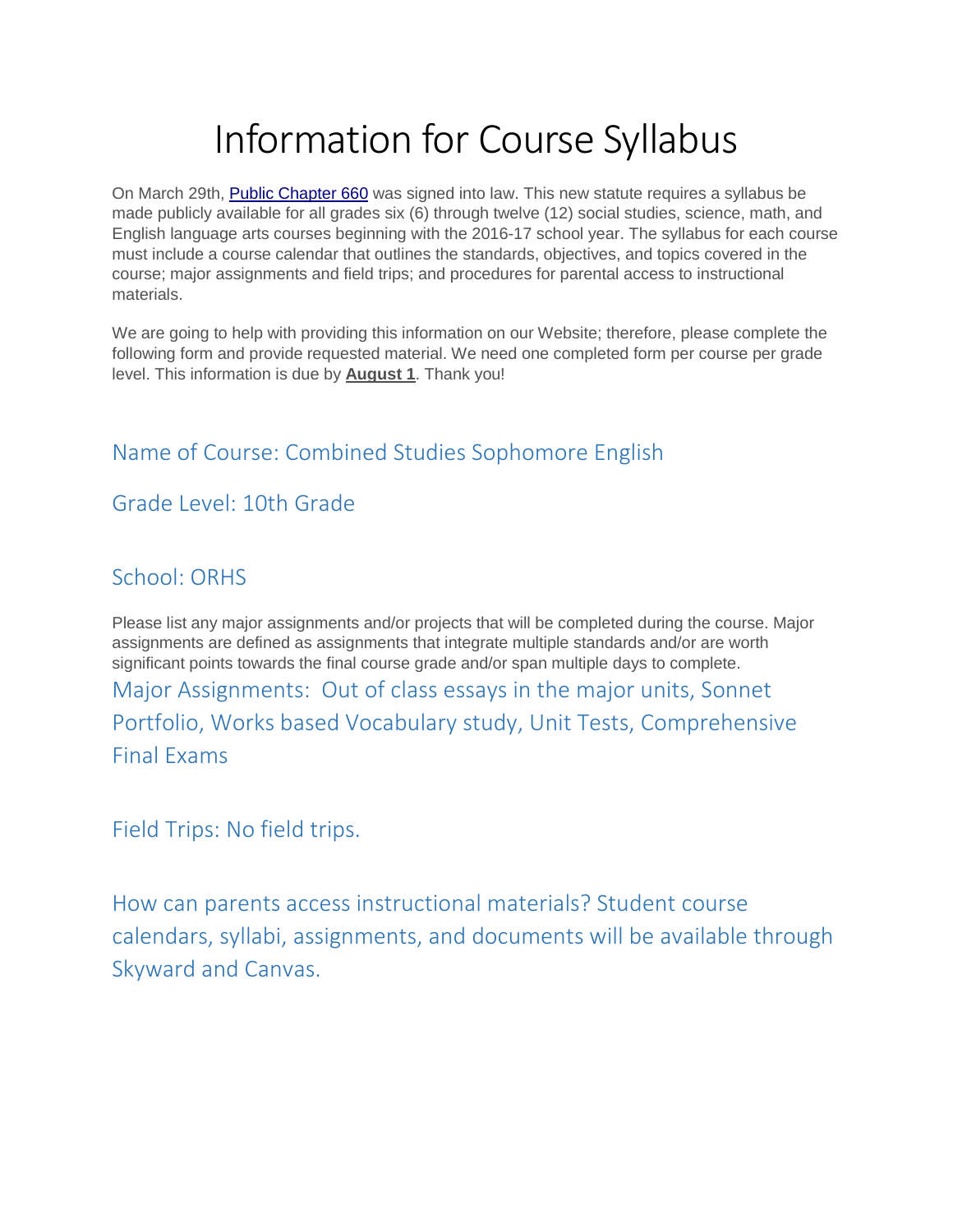# Information for Course Syllabus

On March 29th, **Public Chapter 660** was signed into law. This new statute requires a syllabus be made publicly available for all grades six (6) through twelve (12) social studies, science, math, and English language arts courses beginning with the 2016-17 school year. The syllabus for each course must include a course calendar that outlines the standards, objectives, and topics covered in the course; major assignments and field trips; and procedures for parental access to instructional materials.

We are going to help with providing this information on our Website; therefore, please complete the following form and provide requested material. We need one completed form per course per grade level. This information is due by **August 1**. Thank you!

## Name of Course: Combined Studies Sophomore English

### Grade Level: 10th Grade

#### School: ORHS

Please list any major assignments and/or projects that will be completed during the course. Major assignments are defined as assignments that integrate multiple standards and/or are worth significant points towards the final course grade and/or span multiple days to complete. Major Assignments: Out of class essays in the major units, Sonnet Portfolio, Works based Vocabulary study, Unit Tests, Comprehensive Final Exams

Field Trips: No field trips.

How can parents access instructional materials? Student course calendars, syllabi, assignments, and documents will be available through Skyward and Canvas.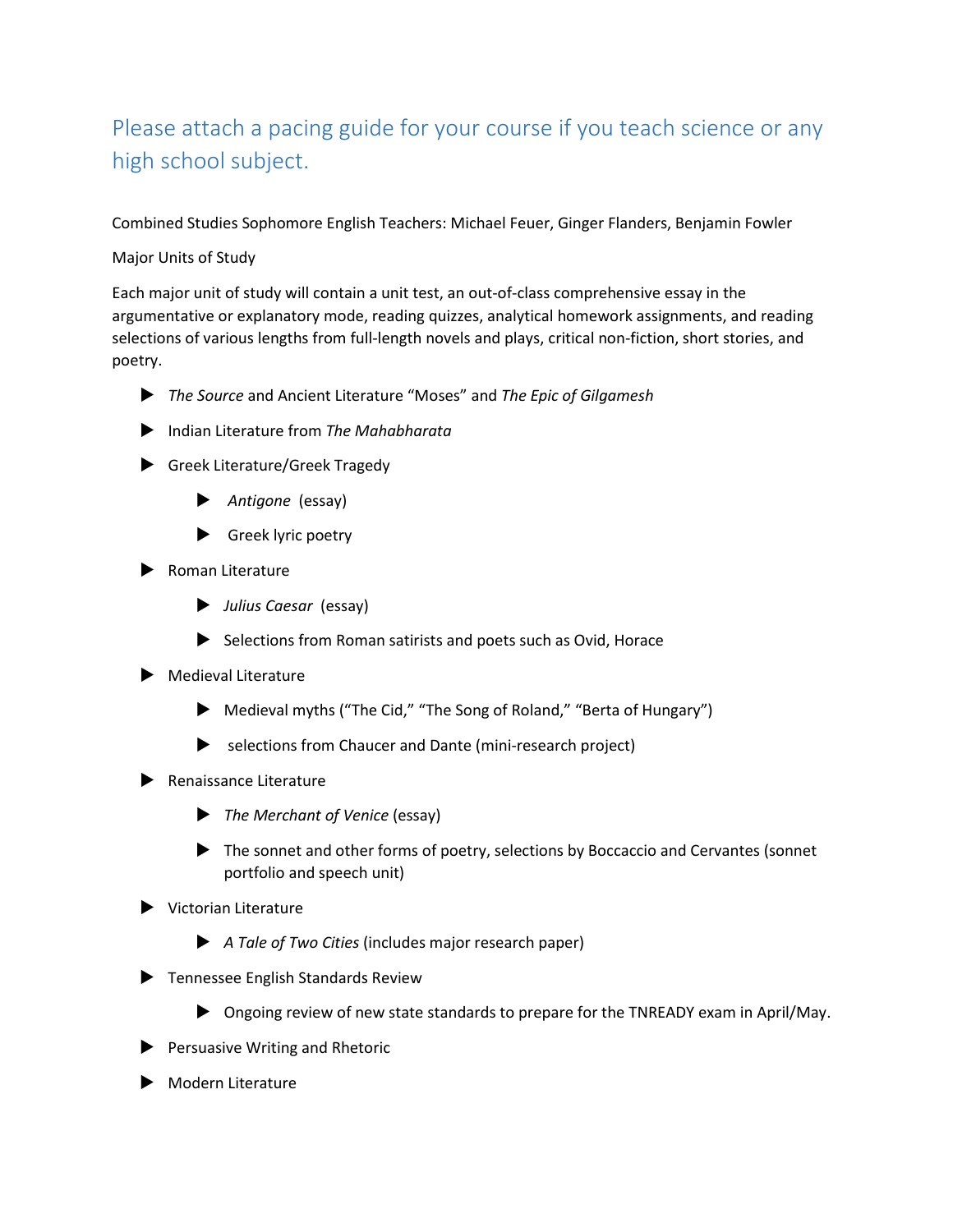## Please attach a pacing guide for your course if you teach science or any high school subject.

Combined Studies Sophomore English Teachers: Michael Feuer, Ginger Flanders, Benjamin Fowler

#### Major Units of Study

Each major unit of study will contain a unit test, an out-of-class comprehensive essay in the argumentative or explanatory mode, reading quizzes, analytical homework assignments, and reading selections of various lengths from full-length novels and plays, critical non-fiction, short stories, and poetry.

- *The Source* and Ancient Literature "Moses" and *The Epic of Gilgamesh*
- Indian Literature from *The Mahabharata*
- Greek Literature/Greek Tragedy
	- *Antigone* (essay)
	- Greek lyric poetry
- Roman Literature
	- *Julius Caesar* (essay)
	- $\blacktriangleright$  Selections from Roman satirists and poets such as Ovid, Horace
- Medieval Literature
	- Medieval myths ("The Cid," "The Song of Roland," "Berta of Hungary")
	- selections from Chaucer and Dante (mini-research project)
- $\blacktriangleright$  Renaissance Literature
	- *The Merchant of Venice* (essay)
	- The sonnet and other forms of poetry, selections by Boccaccio and Cervantes (sonnet portfolio and speech unit)
- Victorian Literature
	- *A Tale of Two Cities* (includes major research paper)
- **Tennessee English Standards Review** 
	- Ongoing review of new state standards to prepare for the TNREADY exam in April/May.
- Persuasive Writing and Rhetoric
- Modern Literature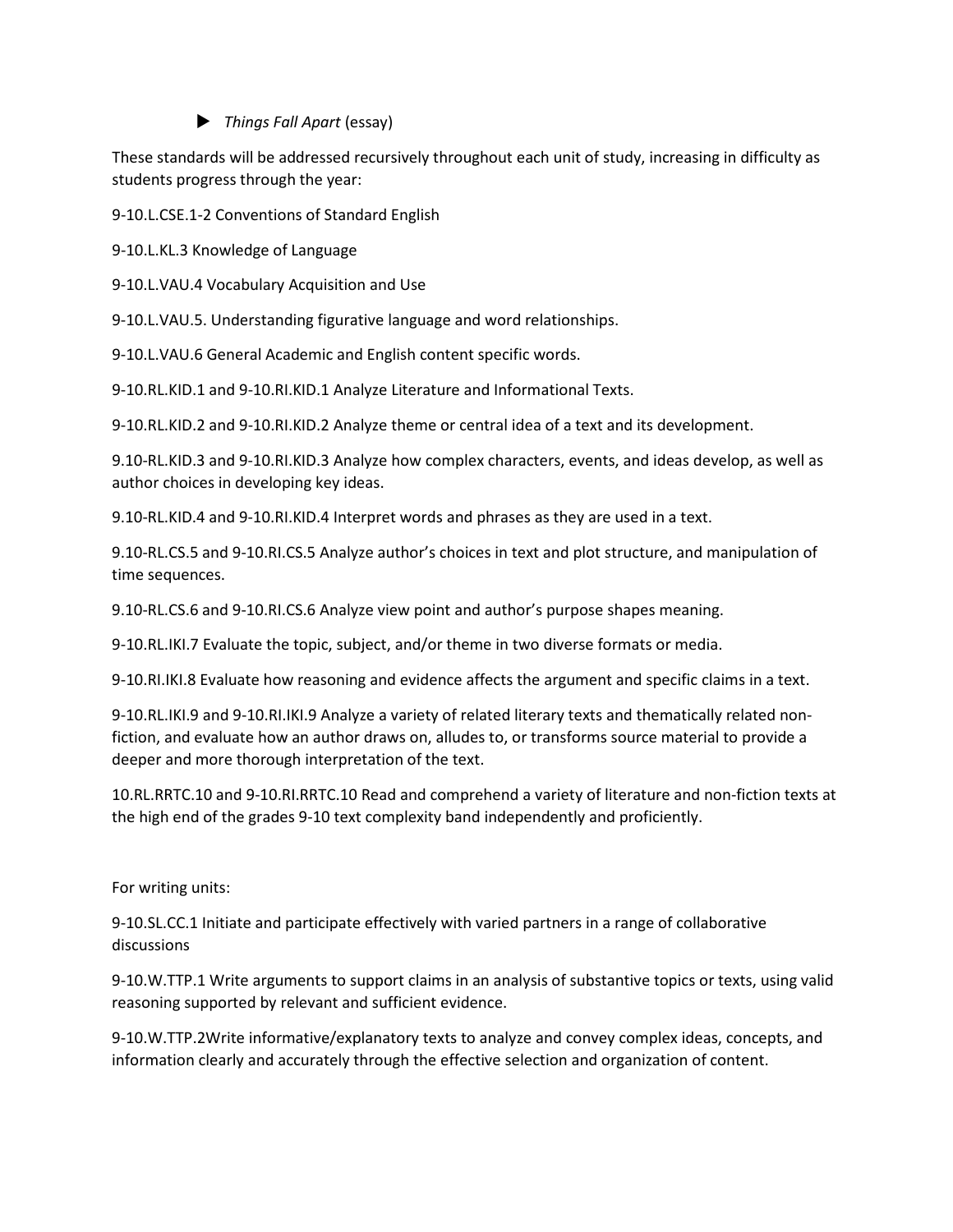#### *Things Fall Apart* (essay)

These standards will be addressed recursively throughout each unit of study, increasing in difficulty as students progress through the year:

9-10.L.CSE.1-2 Conventions of Standard English

9-10.L.KL.3 Knowledge of Language

9-10.L.VAU.4 Vocabulary Acquisition and Use

9-10.L.VAU.5. Understanding figurative language and word relationships.

9-10.L.VAU.6 General Academic and English content specific words.

9-10.RL.KID.1 and 9-10.RI.KID.1 Analyze Literature and Informational Texts.

9-10.RL.KID.2 and 9-10.RI.KID.2 Analyze theme or central idea of a text and its development.

9.10-RL.KID.3 and 9-10.RI.KID.3 Analyze how complex characters, events, and ideas develop, as well as author choices in developing key ideas.

9.10-RL.KID.4 and 9-10.RI.KID.4 Interpret words and phrases as they are used in a text.

9.10-RL.CS.5 and 9-10.RI.CS.5 Analyze author's choices in text and plot structure, and manipulation of time sequences.

9.10-RL.CS.6 and 9-10.RI.CS.6 Analyze view point and author's purpose shapes meaning.

9-10.RL.IKI.7 Evaluate the topic, subject, and/or theme in two diverse formats or media.

9-10.RI.IKI.8 Evaluate how reasoning and evidence affects the argument and specific claims in a text.

9-10.RL.IKI.9 and 9-10.RI.IKI.9 Analyze a variety of related literary texts and thematically related nonfiction, and evaluate how an author draws on, alludes to, or transforms source material to provide a deeper and more thorough interpretation of the text.

10.RL.RRTC.10 and 9-10.RI.RRTC.10 Read and comprehend a variety of literature and non-fiction texts at the high end of the grades 9-10 text complexity band independently and proficiently.

For writing units:

9-10.SL.CC.1 Initiate and participate effectively with varied partners in a range of collaborative discussions

9-10.W.TTP.1 Write arguments to support claims in an analysis of substantive topics or texts, using valid reasoning supported by relevant and sufficient evidence.

9-10.W.TTP.2Write informative/explanatory texts to analyze and convey complex ideas, concepts, and information clearly and accurately through the effective selection and organization of content.